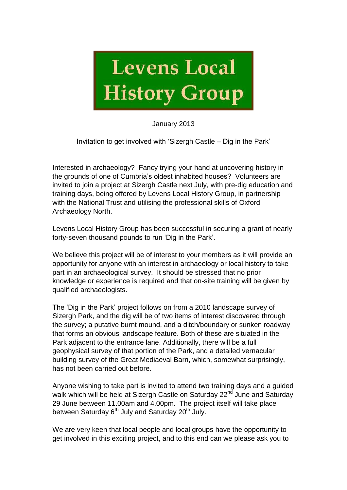

January 2013

Invitation to get involved with 'Sizergh Castle – Dig in the Park'

Interested in archaeology? Fancy trying your hand at uncovering history in the grounds of one of Cumbria's oldest inhabited houses? Volunteers are invited to join a project at Sizergh Castle next July, with pre-dig education and training days, being offered by Levens Local History Group, in partnership with the National Trust and utilising the professional skills of Oxford Archaeology North.

Levens Local History Group has been successful in securing a grant of nearly forty-seven thousand pounds to run 'Dig in the Park'.

We believe this project will be of interest to your members as it will provide an opportunity for anyone with an interest in archaeology or local history to take part in an archaeological survey. It should be stressed that no prior knowledge or experience is required and that on-site training will be given by qualified archaeologists.

The 'Dig in the Park' project follows on from a 2010 landscape survey of Sizergh Park, and the dig will be of two items of interest discovered through the survey; a putative burnt mound, and a ditch/boundary or sunken roadway that forms an obvious landscape feature. Both of these are situated in the Park adjacent to the entrance lane. Additionally, there will be a full geophysical survey of that portion of the Park, and a detailed vernacular building survey of the Great Mediaeval Barn, which, somewhat surprisingly, has not been carried out before.

Anyone wishing to take part is invited to attend two training days and a guided walk which will be held at Sizergh Castle on Saturday 22<sup>nd</sup> June and Saturday 29 June between 11.00am and 4.00pm. The project itself will take place between Saturday  $6<sup>th</sup>$  July and Saturday 20<sup>th</sup> July.

We are very keen that local people and local groups have the opportunity to get involved in this exciting project, and to this end can we please ask you to